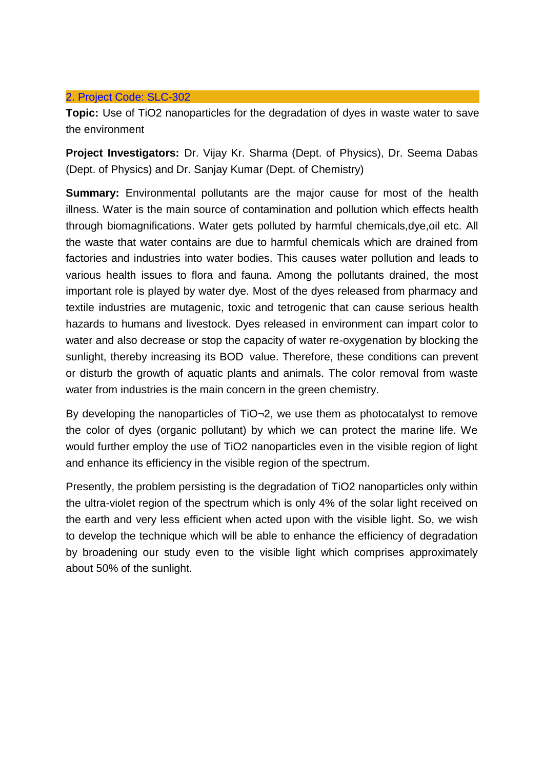## 2. Project Code: [SLC-302](http://slc.du.ac.in/completed-project.php#Project2)

**Topic:** Use of TiO2 nanoparticles for the degradation of dyes in waste water to save the environment

**Project Investigators:** Dr. Vijay Kr. Sharma (Dept. of Physics), Dr. Seema Dabas (Dept. of Physics) and Dr. Sanjay Kumar (Dept. of Chemistry)

**Summary:** Environmental pollutants are the major cause for most of the health illness. Water is the main source of contamination and pollution which effects health through biomagnifications. Water gets polluted by harmful chemicals,dye,oil etc. All the waste that water contains are due to harmful chemicals which are drained from factories and industries into water bodies. This causes water pollution and leads to various health issues to flora and fauna. Among the pollutants drained, the most important role is played by water dye. Most of the dyes released from pharmacy and textile industries are mutagenic, toxic and tetrogenic that can cause serious health hazards to humans and livestock. Dyes released in environment can impart color to water and also decrease or stop the capacity of water re-oxygenation by blocking the sunlight, thereby increasing its BOD value. Therefore, these conditions can prevent or disturb the growth of aquatic plants and animals. The color removal from waste water from industries is the main concern in the green chemistry.

By developing the nanoparticles of TiO¬2, we use them as photocatalyst to remove the color of dyes (organic pollutant) by which we can protect the marine life. We would further employ the use of TiO2 nanoparticles even in the visible region of light and enhance its efficiency in the visible region of the spectrum.

Presently, the problem persisting is the degradation of TiO2 nanoparticles only within the ultra-violet region of the spectrum which is only 4% of the solar light received on the earth and very less efficient when acted upon with the visible light. So, we wish to develop the technique which will be able to enhance the efficiency of degradation by broadening our study even to the visible light which comprises approximately about 50% of the sunlight.